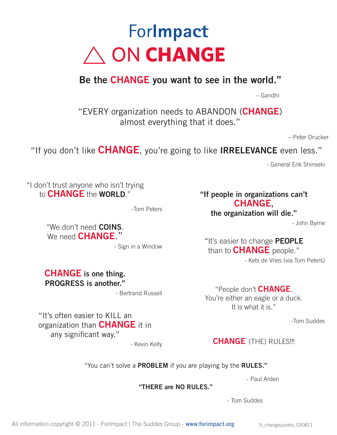# For**Impact**  $\land$  ON **CHANGE**

## **Be the CHANGE you want to see in the world."**

– Gandhi

"EVERY organization needs to ABANDON (**CHANGE**) almost everything that it does."

– Peter Drucker

"If you don't like **CHANGE**, you're going to like **IRRELEVANCE** even less."

- General Erik Shinseki

"I don't trust anyone who isn't trying **to CHANGE** the **WORLD**."

-Tom Peters

"We don't need **COINS**. We need **CHANGE**."

- Sign in a Window

**CHANGE is one thing. PROGRESS is another."** 

- Bertrand Russell

"It's often easier to KILL an organization than **CHANGE** it in any significant way."

- Kevin Kelly

### **"If people in organizations can't CHANGE,**

**the organization will die."** 

- John Byrne

"It's easier to change **PEOPLE** than to **CHANGE** people." - Kets de Vries (via Tom Peters)

"People don't **change**. You're either an eagle or a duck. It is what it is."

-Tom Suddes

**change** (THE) RULES!!!

"You can't solve a **PROBLEM** if you are playing by the **RULES."**

- Paul Arden

**"THERE are NO RULES."**

- Tom Suddes